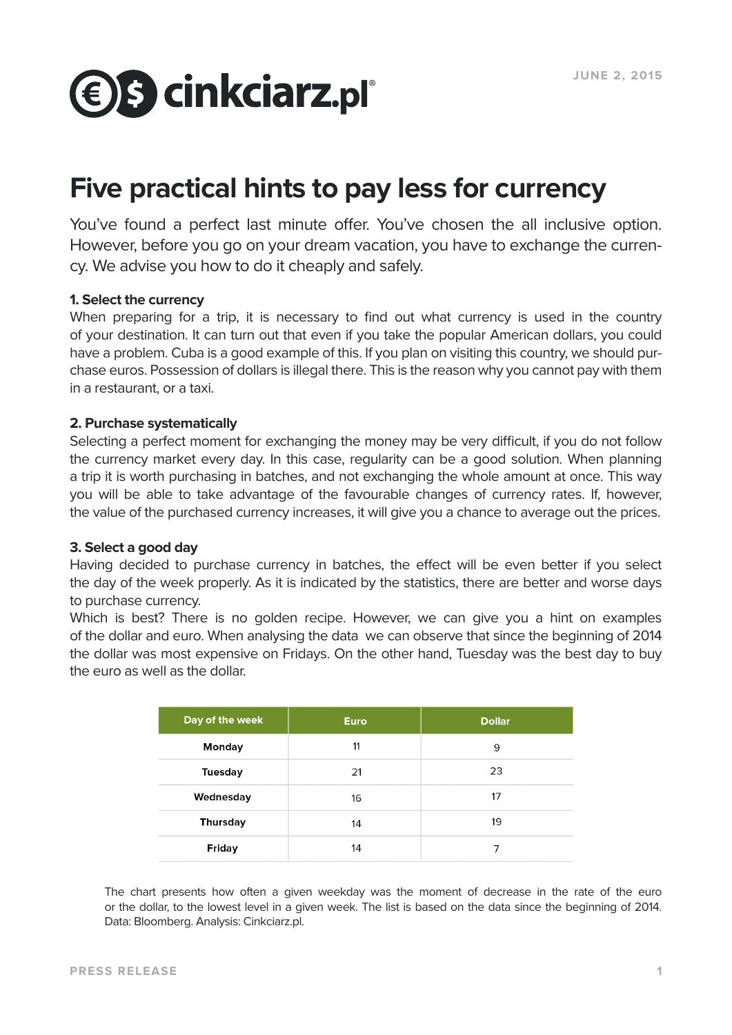

# **Five practical hints to pay less for currency**

You've found a perfect last minute offer. You've chosen the all inclusive option. However, before you go on your dream vacation, you have to exchange the currency. We advise you how to do it cheaply and safely.

# **1. Select the currency**

When preparing for a trip, it is necessary to find out what currency is used in the country of your destination. It can turn out that even if you take the popular American dollars, you could have a problem. Cuba is a good example of this. If you plan on visiting this country, we should purchase euros. Possession of dollars is illegal there. This is the reason why you cannot pay with them in a restaurant, or a taxi.

# **2. Purchase systematically**

Selecting a perfect moment for exchanging the money may be very difficult, if you do not follow the currency market every day. In this case, regularity can be a good solution. When planning a trip it is worth purchasing in batches, and not exchanging the whole amount at once. This way you will be able to take advantage of the favourable changes of currency rates. If, however, the value of the purchased currency increases, it will give you a chance to average out the prices.

# **3. Select a good day**

Having decided to purchase currency in batches, the effect will be even better if you select the day of the week properly. As it is indicated by the statistics, there are better and worse days to purchase currency.

Which is best? There is no golden recipe. However, we can give you a hint on examples of the dollar and euro. When analysing the data we can observe that since the beginning of 2014 the dollar was most expensive on Fridays. On the other hand, Tuesday was the best day to buy the euro as well as the dollar.

| Day of the week | <b>Euro</b> | <b>Dollar</b> |
|-----------------|-------------|---------------|
| <b>Monday</b>   | 11          | 9             |
| <b>Tuesday</b>  | 21          | 23            |
| Wednesday       | 16          | 17            |
| <b>Thursday</b> | 14          | 19            |
| <b>Friday</b>   | 14          |               |

The chart presents how often a given weekday was the moment of decrease in the rate of the euro or the dollar, to the lowest level in a given week. The list is based on the data since the beginning of 2014. Data: Bloomberg. Analysis: Cinkciarz.pl.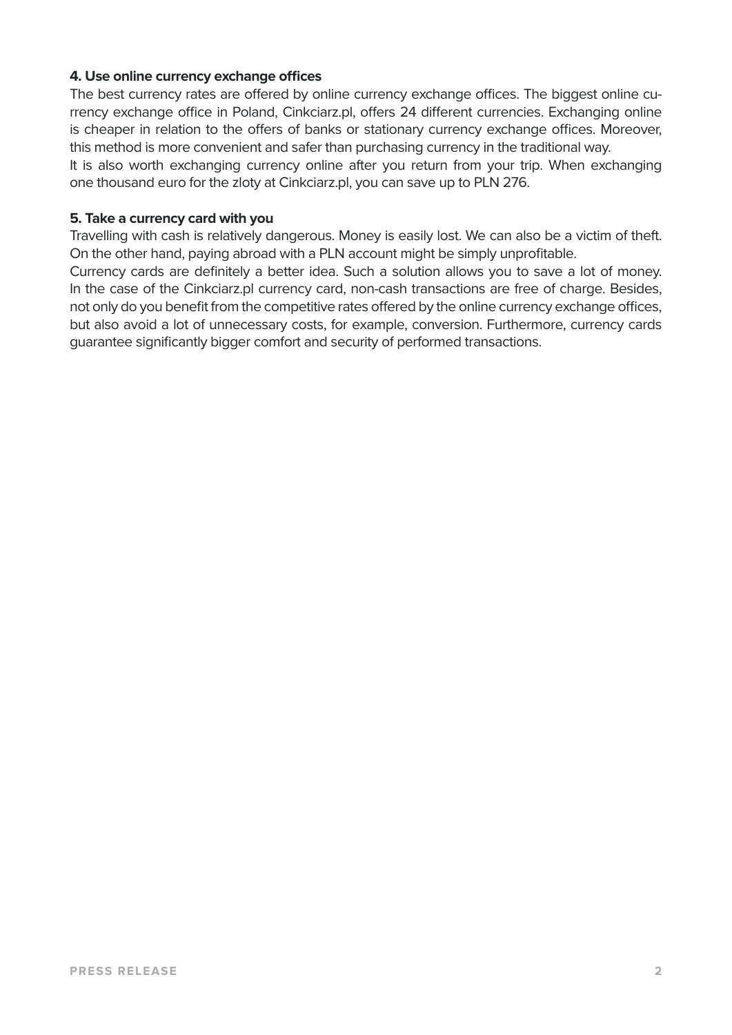# **4. Use online currency exchange offices**

The best currency rates are offered by online currency exchange offices. The biggest online currency exchange office in Poland, Cinkciarz.pl, offers 24 different currencies. Exchanging online is cheaper in relation to the offers of banks or stationary currency exchange offices. Moreover, this method is more convenient and safer than purchasing currency in the traditional way.

It is also worth exchanging currency online after you return from your trip. When exchanging one thousand euro for the zloty at Cinkciarz.pl, you can save up to PLN 276.

#### **5. Take a currency card with you**

Travelling with cash is relatively dangerous. Money is easily lost. We can also be a victim of theft. On the other hand, paying abroad with a PLN account might be simply unprofitable.

Currency cards are definitely a better idea. Such a solution allows you to save a lot of money. In the case of the Cinkciarz.pl currency card, non-cash transactions are free of charge. Besides, not only do you benefit from the competitive rates offered by the online currency exchange offices, but also avoid a lot of unnecessary costs, for example, conversion. Furthermore, currency cards guarantee significantly bigger comfort and security of performed transactions.